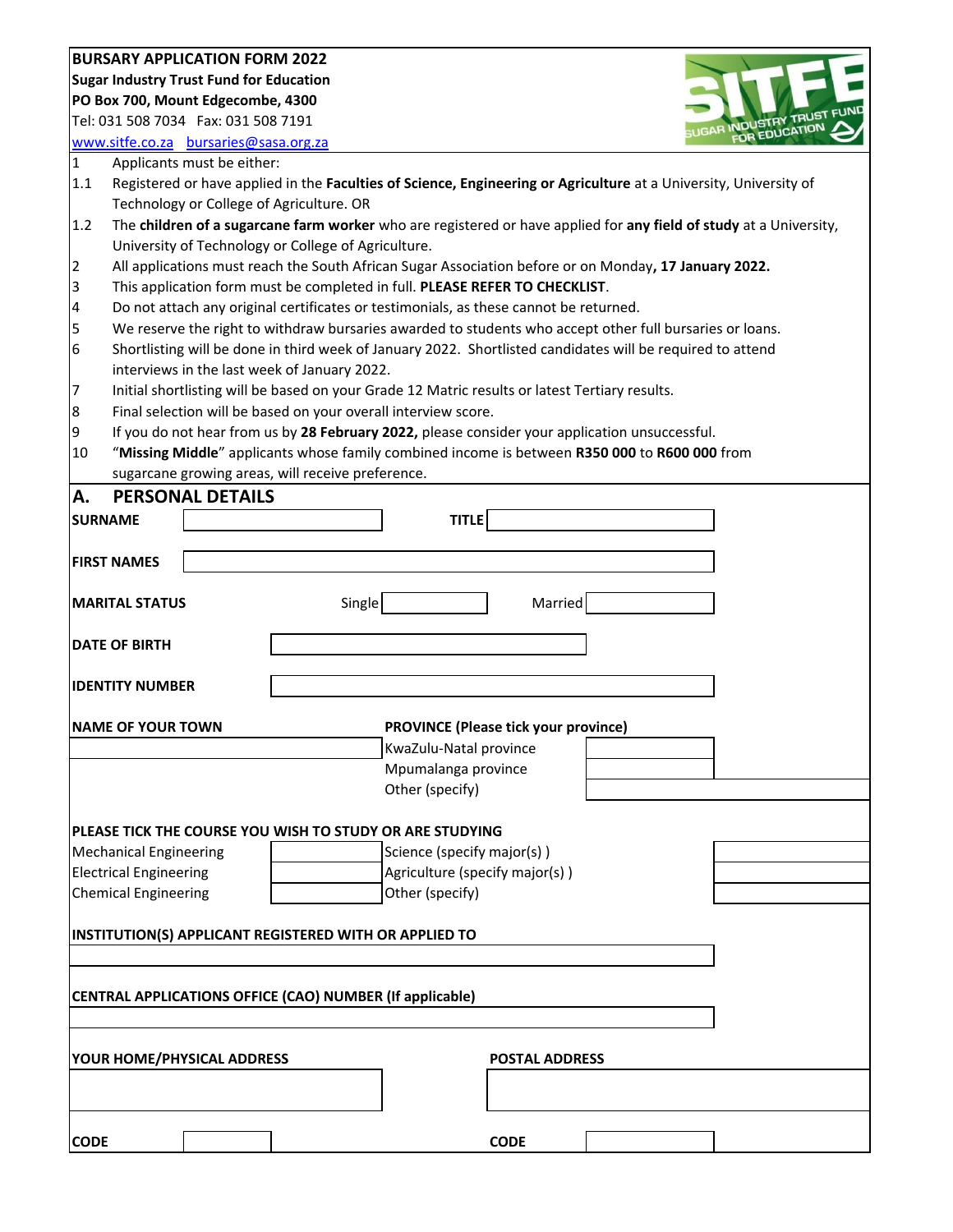## **BURSARY APPLICATION FORM 2022**

**Sugar Industry Trust Fund for Education**

**PO Box 700, Mount Edgecombe, 4300**

Tel: 031 508 7034 Fax: 031 508 7191 [www.sitfe.co.za](http://www.sitfe.co.za/) [bursaries@sasa.org.za](mailto:bursaries@sasa.org.za) **INDUSTRY INDUSTRY** 

1 Applicants must be either:

- 1.1 Registered or have applied in the **Faculties of Science, Engineering or Agriculture** at a University, University of Technology or College of Agriculture. OR
- 1.2 The **children of a sugarcane farm worker** who are registered or have applied for **any field of study** at a University, University of Technology or College of Agriculture.
- 2 All applications must reach the South African Sugar Association before or on Monday**, 17 January 2022.**
- 3 This application form must be completed in full. **PLEASE REFER TO CHECKLIST**.
- 4 Do not attach any original certificates or testimonials, as these cannot be returned.
- 5 We reserve the right to withdraw bursaries awarded to students who accept other full bursaries or loans.
- 6 Shortlisting will be done in third week of January 2022. Shortlisted candidates will be required to attend interviews in the last week of January 2022.
- 7 Initial shortlisting will be based on your Grade 12 Matric results or latest Tertiary results.
- 8 Final selection will be based on your overall interview score.
- 9 If you do not hear from us by **28 February 2022,** please consider your application unsuccessful.
- 10 "**Missing Middle**" applicants whose family combined income is between **R350 000** to **R600 000** from sugarcane growing areas, will receive preference.

| <b>A.</b><br><b>PERSONAL DETAILS</b> |                                                          |  |  |
|--------------------------------------|----------------------------------------------------------|--|--|
| <b>SURNAME</b>                       | <b>TITLE</b>                                             |  |  |
|                                      |                                                          |  |  |
| <b>FIRST NAMES</b>                   |                                                          |  |  |
| <b>MARITAL STATUS</b>                | Single<br>Married                                        |  |  |
| <b>DATE OF BIRTH</b>                 |                                                          |  |  |
| <b>IDENTITY NUMBER</b>               |                                                          |  |  |
| <b>NAME OF YOUR TOWN</b>             | <b>PROVINCE (Please tick your province)</b>              |  |  |
|                                      | KwaZulu-Natal province                                   |  |  |
|                                      | Mpumalanga province                                      |  |  |
|                                      | Other (specify)                                          |  |  |
|                                      | PLEASE TICK THE COURSE YOU WISH TO STUDY OR ARE STUDYING |  |  |
| <b>Mechanical Engineering</b>        | Science (specify major(s))                               |  |  |
| <b>Electrical Engineering</b>        | Agriculture (specify major(s))                           |  |  |
| <b>Chemical Engineering</b>          | Other (specify)                                          |  |  |
|                                      |                                                          |  |  |
|                                      | INSTITUTION(S) APPLICANT REGISTERED WITH OR APPLIED TO   |  |  |
|                                      |                                                          |  |  |
|                                      | CENTRAL APPLICATIONS OFFICE (CAO) NUMBER (If applicable) |  |  |
|                                      |                                                          |  |  |
|                                      |                                                          |  |  |
| YOUR HOME/PHYSICAL ADDRESS           | <b>POSTAL ADDRESS</b>                                    |  |  |
|                                      |                                                          |  |  |
|                                      |                                                          |  |  |
| <b>CODE</b>                          | <b>CODE</b>                                              |  |  |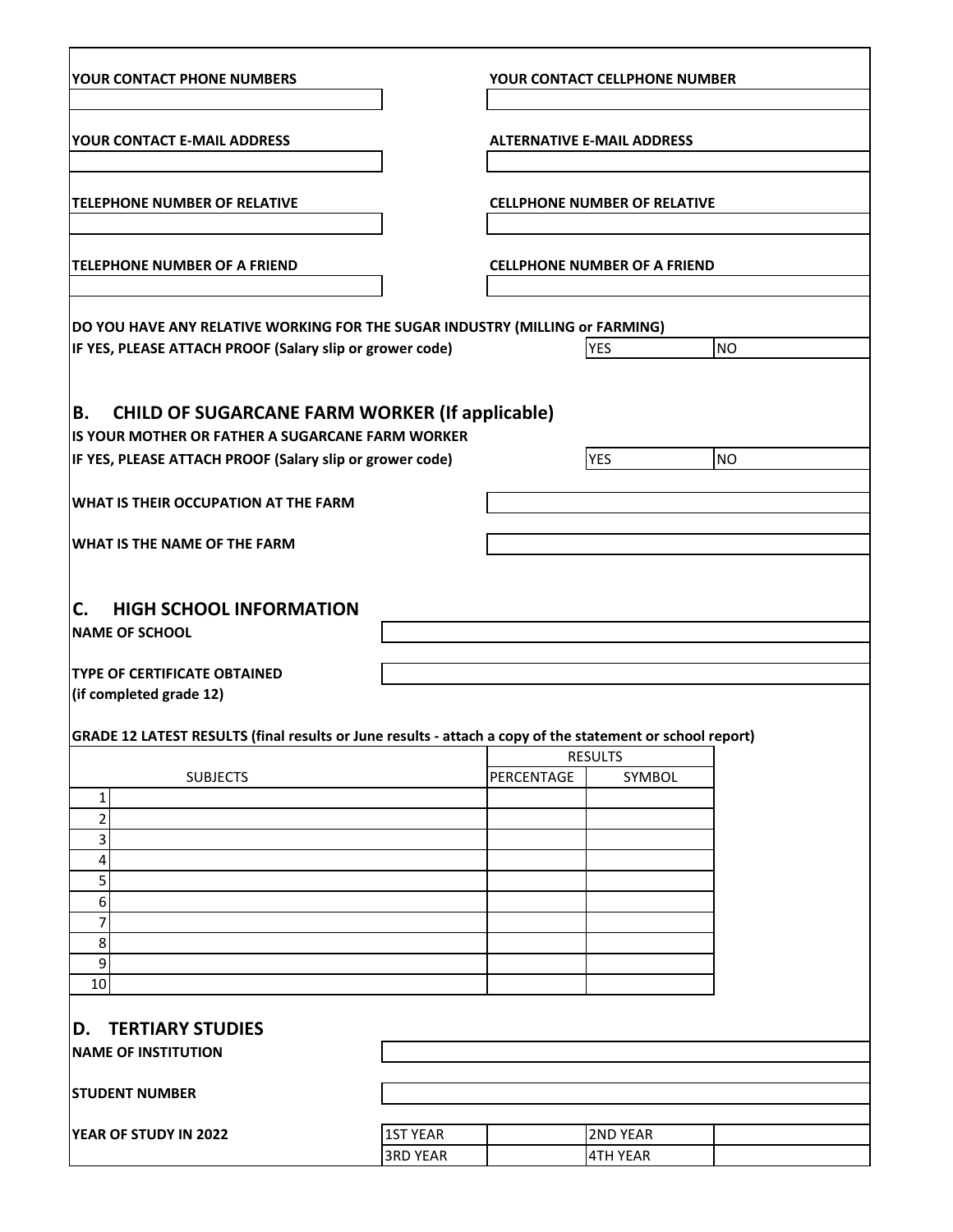| YOUR CONTACT PHONE NUMBERS                                                                                                                                                  |                 | YOUR CONTACT CELLPHONE NUMBER       |                 |           |
|-----------------------------------------------------------------------------------------------------------------------------------------------------------------------------|-----------------|-------------------------------------|-----------------|-----------|
| YOUR CONTACT E-MAIL ADDRESS                                                                                                                                                 |                 | <b>ALTERNATIVE E-MAIL ADDRESS</b>   |                 |           |
| <b>TELEPHONE NUMBER OF RELATIVE</b>                                                                                                                                         |                 | <b>CELLPHONE NUMBER OF RELATIVE</b> |                 |           |
| <b>TELEPHONE NUMBER OF A FRIEND</b>                                                                                                                                         |                 | <b>CELLPHONE NUMBER OF A FRIEND</b> |                 |           |
| DO YOU HAVE ANY RELATIVE WORKING FOR THE SUGAR INDUSTRY (MILLING or FARMING)<br>IF YES, PLEASE ATTACH PROOF (Salary slip or grower code)                                    |                 |                                     | <b>YES</b>      | <b>NO</b> |
| <b>CHILD OF SUGARCANE FARM WORKER (If applicable)</b><br>В.<br>IS YOUR MOTHER OR FATHER A SUGARCANE FARM WORKER<br>IF YES, PLEASE ATTACH PROOF (Salary slip or grower code) |                 |                                     | <b>YES</b>      | <b>NO</b> |
| WHAT IS THEIR OCCUPATION AT THE FARM                                                                                                                                        |                 |                                     |                 |           |
| <b>WHAT IS THE NAME OF THE FARM</b>                                                                                                                                         |                 |                                     |                 |           |
| <b>HIGH SCHOOL INFORMATION</b><br>C.<br><b>NAME OF SCHOOL</b>                                                                                                               |                 |                                     |                 |           |
| <b>TYPE OF CERTIFICATE OBTAINED</b><br>(if completed grade 12)                                                                                                              |                 |                                     |                 |           |
| GRADE 12 LATEST RESULTS (final results or June results - attach a copy of the statement or school report)                                                                   |                 |                                     | RESULTS         |           |
| <b>SUBJECTS</b>                                                                                                                                                             |                 | PERCENTAGE                          | SYMBOL          |           |
| 1                                                                                                                                                                           |                 |                                     |                 |           |
| 2                                                                                                                                                                           |                 |                                     |                 |           |
| 3                                                                                                                                                                           |                 |                                     |                 |           |
| 4                                                                                                                                                                           |                 |                                     |                 |           |
| 5                                                                                                                                                                           |                 |                                     |                 |           |
| 6                                                                                                                                                                           |                 |                                     |                 |           |
| 7                                                                                                                                                                           |                 |                                     |                 |           |
| 8                                                                                                                                                                           |                 |                                     |                 |           |
| 9                                                                                                                                                                           |                 |                                     |                 |           |
| 10                                                                                                                                                                          |                 |                                     |                 |           |
| <b>D. TERTIARY STUDIES</b>                                                                                                                                                  |                 |                                     |                 |           |
| <b>NAME OF INSTITUTION</b>                                                                                                                                                  |                 |                                     |                 |           |
|                                                                                                                                                                             |                 |                                     |                 |           |
| <b>STUDENT NUMBER</b>                                                                                                                                                       |                 |                                     |                 |           |
|                                                                                                                                                                             |                 |                                     |                 |           |
| YEAR OF STUDY IN 2022                                                                                                                                                       | <b>1ST YEAR</b> |                                     | <b>2ND YEAR</b> |           |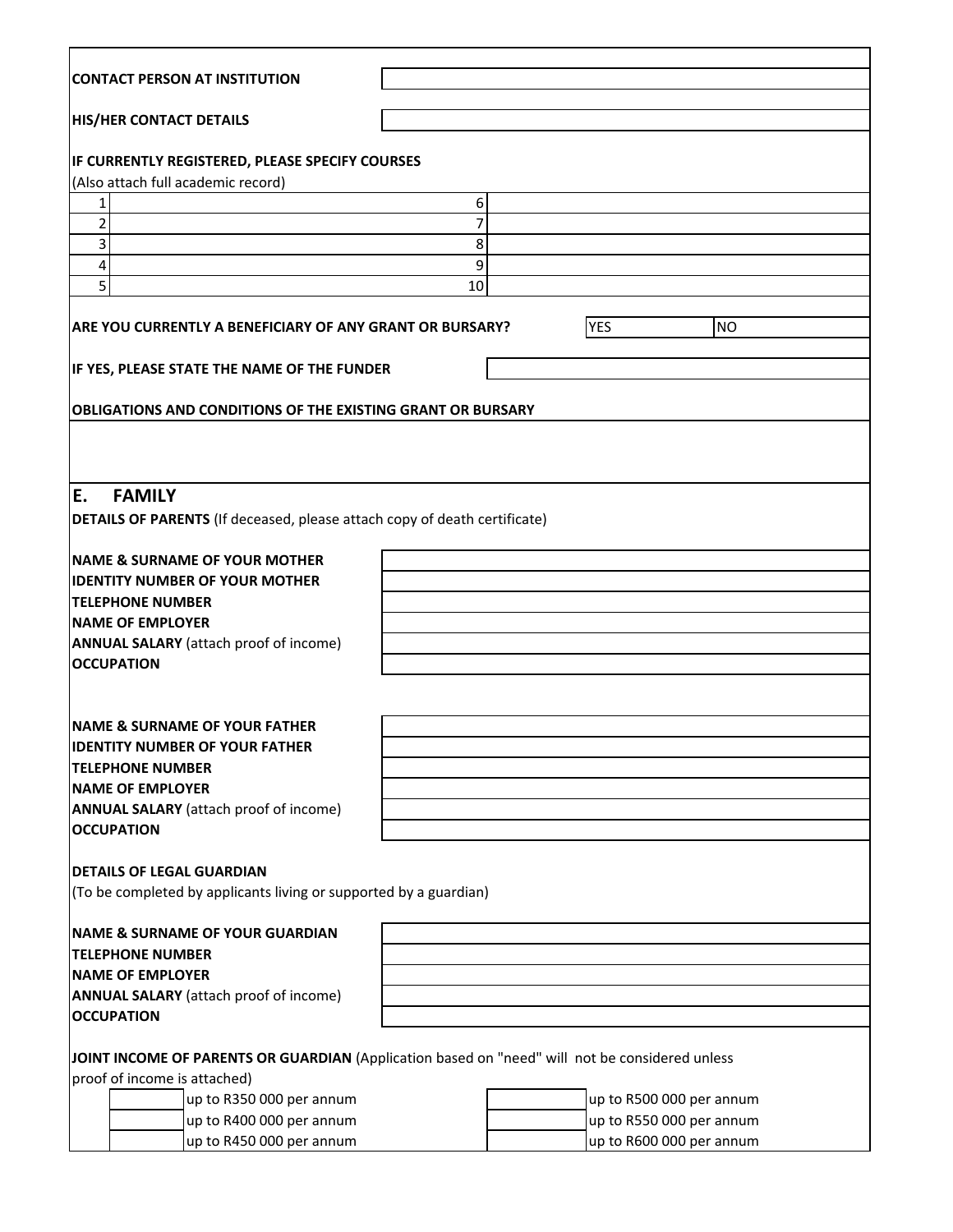| CONTACT PERSON AT INSTITUTION                                                                  |    |  |                          |           |
|------------------------------------------------------------------------------------------------|----|--|--------------------------|-----------|
| <b>HIS/HER CONTACT DETAILS</b>                                                                 |    |  |                          |           |
| IF CURRENTLY REGISTERED, PLEASE SPECIFY COURSES<br>(Also attach full academic record)          |    |  |                          |           |
| 1                                                                                              | 6  |  |                          |           |
| 2                                                                                              | 7  |  |                          |           |
| 3                                                                                              | 8  |  |                          |           |
| 4                                                                                              | 9  |  |                          |           |
| 5                                                                                              | 10 |  |                          |           |
| ARE YOU CURRENTLY A BENEFICIARY OF ANY GRANT OR BURSARY?                                       |    |  | <b>YES</b>               | <b>NO</b> |
| IF YES, PLEASE STATE THE NAME OF THE FUNDER                                                    |    |  |                          |           |
|                                                                                                |    |  |                          |           |
| <b>OBLIGATIONS AND CONDITIONS OF THE EXISTING GRANT OR BURSARY</b>                             |    |  |                          |           |
|                                                                                                |    |  |                          |           |
|                                                                                                |    |  |                          |           |
| E.<br><b>FAMILY</b>                                                                            |    |  |                          |           |
| <b>DETAILS OF PARENTS</b> (If deceased, please attach copy of death certificate)               |    |  |                          |           |
|                                                                                                |    |  |                          |           |
| <b>NAME &amp; SURNAME OF YOUR MOTHER</b>                                                       |    |  |                          |           |
| <b>IIDENTITY NUMBER OF YOUR MOTHER</b>                                                         |    |  |                          |           |
| <b>ITELEPHONE NUMBER</b>                                                                       |    |  |                          |           |
| <b>NAME OF EMPLOYER</b>                                                                        |    |  |                          |           |
| <b>ANNUAL SALARY</b> (attach proof of income)                                                  |    |  |                          |           |
| <b>OCCUPATION</b>                                                                              |    |  |                          |           |
|                                                                                                |    |  |                          |           |
|                                                                                                |    |  |                          |           |
| <b>INAME &amp; SURNAME OF YOUR FATHER</b>                                                      |    |  |                          |           |
| <b>IDENTITY NUMBER OF YOUR FATHER</b>                                                          |    |  |                          |           |
| <b>TELEPHONE NUMBER</b>                                                                        |    |  |                          |           |
| <b>NAME OF EMPLOYER</b>                                                                        |    |  |                          |           |
| <b>ANNUAL SALARY</b> (attach proof of income)                                                  |    |  |                          |           |
| <b>OCCUPATION</b>                                                                              |    |  |                          |           |
|                                                                                                |    |  |                          |           |
| <b>DETAILS OF LEGAL GUARDIAN</b>                                                               |    |  |                          |           |
| (To be completed by applicants living or supported by a guardian)                              |    |  |                          |           |
|                                                                                                |    |  |                          |           |
| <b>NAME &amp; SURNAME OF YOUR GUARDIAN</b>                                                     |    |  |                          |           |
| <b>TELEPHONE NUMBER</b>                                                                        |    |  |                          |           |
| <b>NAME OF EMPLOYER</b>                                                                        |    |  |                          |           |
| <b>ANNUAL SALARY</b> (attach proof of income)                                                  |    |  |                          |           |
| <b>OCCUPATION</b>                                                                              |    |  |                          |           |
|                                                                                                |    |  |                          |           |
| JOINT INCOME OF PARENTS OR GUARDIAN (Application based on "need" will not be considered unless |    |  |                          |           |
| proof of income is attached)                                                                   |    |  |                          |           |
| up to R350 000 per annum                                                                       |    |  | up to R500 000 per annum |           |
| up to R400 000 per annum                                                                       |    |  | up to R550 000 per annum |           |
| up to R450 000 per annum                                                                       |    |  | up to R600 000 per annum |           |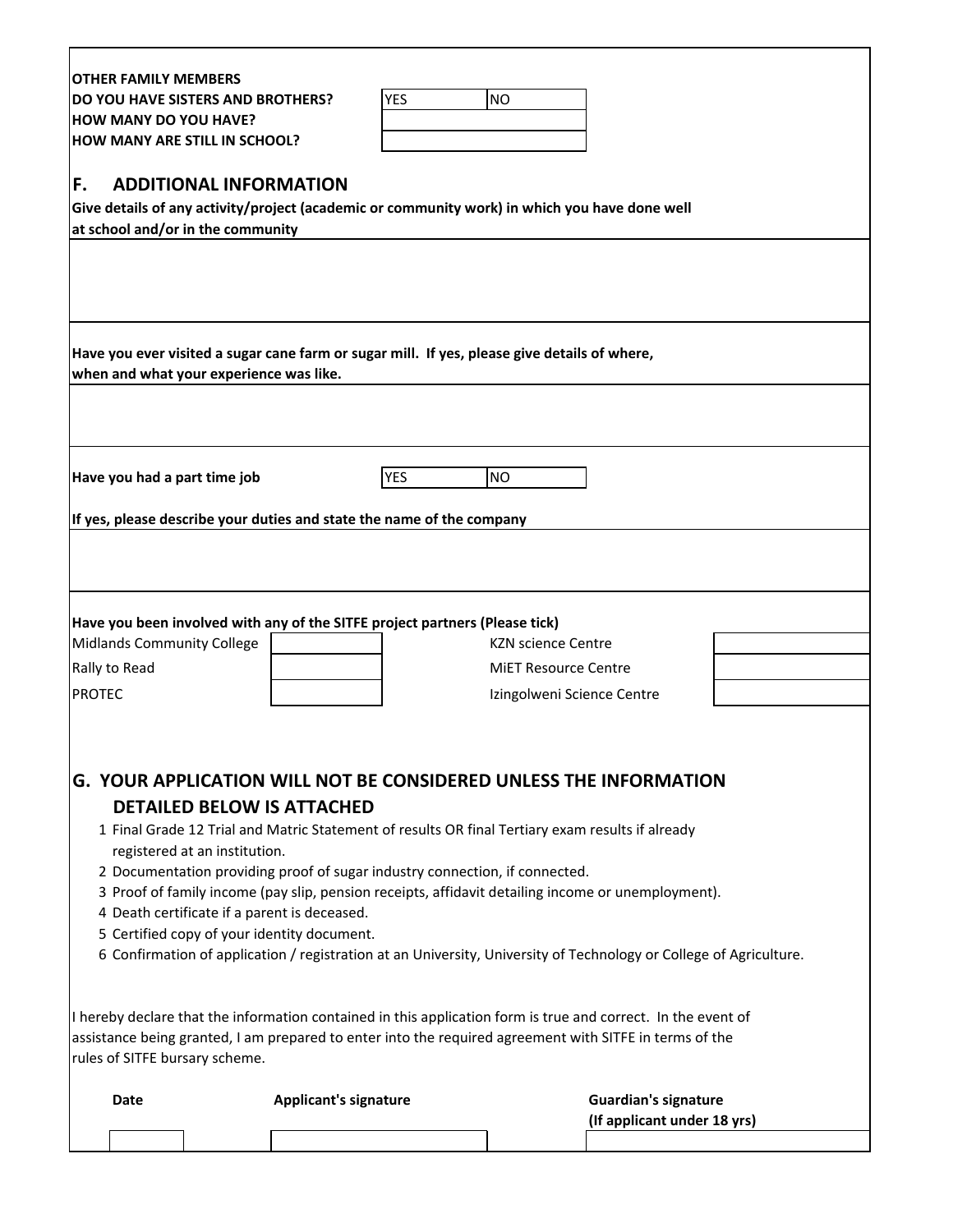| <b>OTHER FAMILY MEMBERS</b>                                                                  |                                                                             |                                                                                                                    |
|----------------------------------------------------------------------------------------------|-----------------------------------------------------------------------------|--------------------------------------------------------------------------------------------------------------------|
| DO YOU HAVE SISTERS AND BROTHERS?                                                            | <b>YES</b>                                                                  | <b>NO</b>                                                                                                          |
| <b>HOW MANY DO YOU HAVE?</b>                                                                 |                                                                             |                                                                                                                    |
| <b>HOW MANY ARE STILL IN SCHOOL?</b>                                                         |                                                                             |                                                                                                                    |
|                                                                                              |                                                                             |                                                                                                                    |
| F.<br><b>ADDITIONAL INFORMATION</b>                                                          |                                                                             |                                                                                                                    |
| at school and/or in the community                                                            |                                                                             | Give details of any activity/project (academic or community work) in which you have done well                      |
|                                                                                              |                                                                             |                                                                                                                    |
|                                                                                              |                                                                             |                                                                                                                    |
|                                                                                              |                                                                             |                                                                                                                    |
|                                                                                              |                                                                             |                                                                                                                    |
|                                                                                              |                                                                             |                                                                                                                    |
| Have you ever visited a sugar cane farm or sugar mill. If yes, please give details of where, |                                                                             |                                                                                                                    |
| when and what your experience was like.                                                      |                                                                             |                                                                                                                    |
|                                                                                              |                                                                             |                                                                                                                    |
|                                                                                              |                                                                             |                                                                                                                    |
|                                                                                              |                                                                             |                                                                                                                    |
| Have you had a part time job                                                                 | <b>YES</b>                                                                  | <b>NO</b>                                                                                                          |
|                                                                                              |                                                                             |                                                                                                                    |
| If yes, please describe your duties and state the name of the company                        |                                                                             |                                                                                                                    |
|                                                                                              |                                                                             |                                                                                                                    |
|                                                                                              |                                                                             |                                                                                                                    |
|                                                                                              |                                                                             |                                                                                                                    |
| Have you been involved with any of the SITFE project partners (Please tick)                  |                                                                             |                                                                                                                    |
| Midlands Community College                                                                   |                                                                             | <b>KZN science Centre</b>                                                                                          |
| Rally to Read                                                                                |                                                                             | <b>MIET Resource Centre</b>                                                                                        |
| <b>PROTEC</b>                                                                                |                                                                             | Izingolweni Science Centre                                                                                         |
|                                                                                              |                                                                             |                                                                                                                    |
|                                                                                              |                                                                             |                                                                                                                    |
|                                                                                              |                                                                             |                                                                                                                    |
|                                                                                              |                                                                             | <b>G. YOUR APPLICATION WILL NOT BE CONSIDERED UNLESS THE INFORMATION</b>                                           |
| <b>DETAILED BELOW IS ATTACHED</b>                                                            |                                                                             |                                                                                                                    |
|                                                                                              |                                                                             | 1 Final Grade 12 Trial and Matric Statement of results OR final Tertiary exam results if already                   |
| registered at an institution.                                                                |                                                                             |                                                                                                                    |
|                                                                                              | 2 Documentation providing proof of sugar industry connection, if connected. |                                                                                                                    |
|                                                                                              |                                                                             | 3 Proof of family income (pay slip, pension receipts, affidavit detailing income or unemployment).                 |
| 4 Death certificate if a parent is deceased.                                                 |                                                                             |                                                                                                                    |
| 5 Certified copy of your identity document.                                                  |                                                                             |                                                                                                                    |
|                                                                                              |                                                                             | 6 Confirmation of application / registration at an University, University of Technology or College of Agriculture. |
|                                                                                              |                                                                             |                                                                                                                    |
|                                                                                              |                                                                             | I hereby declare that the information contained in this application form is true and correct. In the event of      |
|                                                                                              |                                                                             | assistance being granted, I am prepared to enter into the required agreement with SITFE in terms of the            |
| rules of SITFE bursary scheme.                                                               |                                                                             |                                                                                                                    |
|                                                                                              |                                                                             |                                                                                                                    |
| <b>Date</b>                                                                                  | <b>Applicant's signature</b>                                                | <b>Guardian's signature</b>                                                                                        |
|                                                                                              |                                                                             | (If applicant under 18 yrs)                                                                                        |